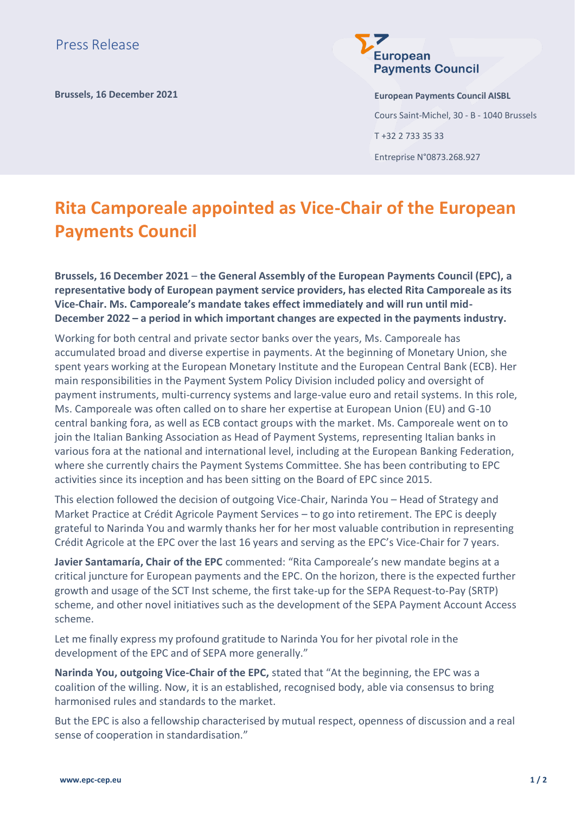### European **Payments Council**

**Brussels, 16 December 2021 European Payments Council AISBL** Cours Saint-Michel, 30 - B - 1040 Brussels T +32 2 733 35 33 Entreprise N°0873.268.927

# **Rita Camporeale appointed as Vice-Chair of the European Payments Council**

**Brussels, 16 December 2021** – **the General Assembly of the European Payments Council (EPC), a representative body of European payment service providers, has elected Rita Camporeale as its Vice-Chair. Ms. Camporeale's mandate takes effect immediately and will run until mid-December 2022 – a period in which important changes are expected in the payments industry.**

Working for both central and private sector banks over the years, Ms. Camporeale has accumulated broad and diverse expertise in payments. At the beginning of Monetary Union, she spent years working at the European Monetary Institute and the European Central Bank (ECB). Her main responsibilities in the Payment System Policy Division included policy and oversight of payment instruments, multi-currency systems and large-value euro and retail systems. In this role, Ms. Camporeale was often called on to share her expertise at European Union (EU) and G-10 central banking fora, as well as ECB contact groups with the market. Ms. Camporeale went on to join the Italian Banking Association as Head of Payment Systems, representing Italian banks in various fora at the national and international level, including at the European Banking Federation, where she currently chairs the Payment Systems Committee. She has been contributing to EPC activities since its inception and has been sitting on the Board of EPC since 2015.

This election followed the decision of outgoing Vice-Chair, Narinda You – Head of Strategy and Market Practice at Crédit Agricole Payment Services – to go into retirement. The EPC is deeply grateful to Narinda You and warmly thanks her for her most valuable contribution in representing Crédit Agricole at the EPC over the last 16 years and serving as the EPC's Vice-Chair for 7 years.

**Javier Santamaría, Chair of the EPC** commented: "Rita Camporeale's new mandate begins at a critical juncture for European payments and the EPC. On the horizon, there is the expected further growth and usage of the SCT Inst scheme, the first take-up for the SEPA Request-to-Pay (SRTP) scheme, and other novel initiatives such as the development of the SEPA Payment Account Access scheme.

Let me finally express my profound gratitude to Narinda You for her pivotal role in the development of the EPC and of SEPA more generally."

**Narinda You, outgoing Vice-Chair of the EPC,** stated that "At the beginning, the EPC was a coalition of the willing. Now, it is an established, recognised body, able via consensus to bring harmonised rules and standards to the market.

But the EPC is also a fellowship characterised by mutual respect, openness of discussion and a real sense of cooperation in standardisation."